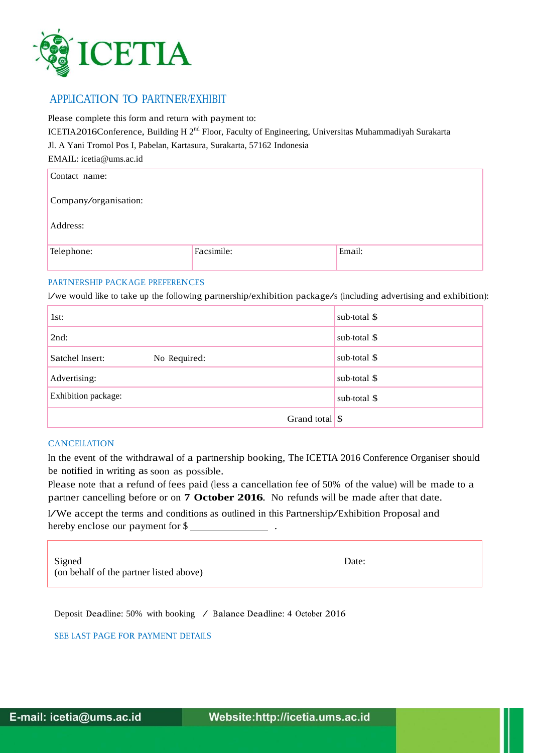

## APPLICATION TO PARTNER/EXHIBIT

Please complete this form and return with payment to:

ICETIA2016Conference, Building H 2<sup>nd</sup> Floor, Faculty of Engineering, Universitas Muhammadiyah Surakarta

Jl. A Yani Tromol Pos I, Pabelan, Kartasura, Surakarta, 57162 Indonesia

EMAIL: icetia@ums.ac.id

| Contact name:         |            |        |  |  |
|-----------------------|------------|--------|--|--|
| Company/organisation: |            |        |  |  |
| Address:              |            |        |  |  |
| Telephone:            | Facsimile: | Email: |  |  |

## PARTNERSHIP PACKAGE PREFERENCES

I/we would like to take up the following partnership/exhibition package/s (including advertising and exhibition):

| 1st:                            | sub-total \$  |
|---------------------------------|---------------|
| 2nd:                            | sub-total \$  |
| Satchel Insert:<br>No Required: | sub-total $\$ |
| Advertising:                    | sub-total \$  |
| Exhibition package:             | sub-total $$$ |
| Grand total $\sqrt{s}$          |               |

## **CANCELLATION**

In the event of the withdrawal of a partnership booking, The ICETIA 2016 Conference Organiser should be notified in writing as soon as possible.

Please note that a refund of fees paid (less a cancellation fee of 50% of the value) will be made to a partner cancelling before or on **7 October 2016**. No refunds will be made after that date.

I/We accept the terms and conditions as outlined in this Partnership/Exhibition Proposal and hereby enclose our payment for \$

Signed Date: (on behalf of the partner listed above)

Deposit Deadline: 50% with booking / Balance Deadline: 4 October 2016

SEE LAST PAGE FOR PAYMENT DETAILS